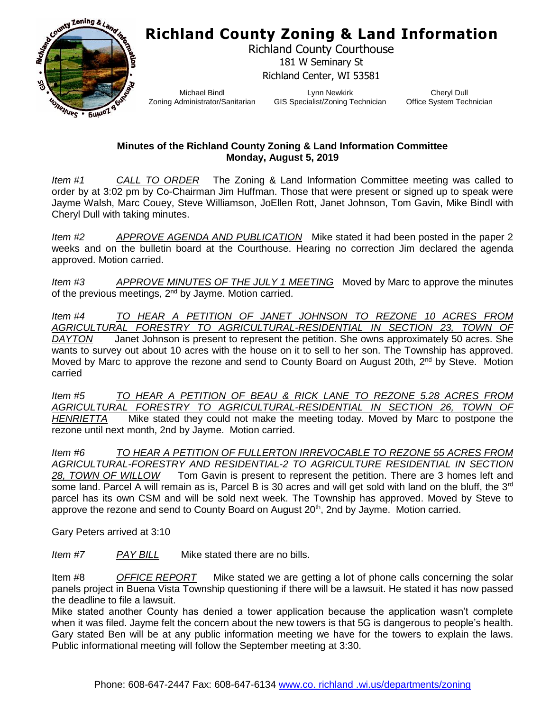## **Richland County Zoning & Land Information**



Richland County Courthouse 181 W Seminary St Richland Center, WI 53581

Michael Bindl Zoning Administrator/Sanitarian

Lynn Newkirk GIS Specialist/Zoning Technician

Cheryl Dull Office System Technician

## **Minutes of the Richland County Zoning & Land Information Committee Monday, August 5, 2019**

*Item #1 CALL TO ORDER* The Zoning & Land Information Committee meeting was called to order by at 3:02 pm by Co-Chairman Jim Huffman. Those that were present or signed up to speak were Jayme Walsh, Marc Couey, Steve Williamson, JoEllen Rott, Janet Johnson, Tom Gavin, Mike Bindl with Cheryl Dull with taking minutes.

*Item #2 APPROVE AGENDA AND PUBLICATION* Mike stated it had been posted in the paper 2 weeks and on the bulletin board at the Courthouse. Hearing no correction Jim declared the agenda approved. Motion carried.

*Item #3 APPROVE MINUTES OF THE JULY 1 MEETING* Moved by Marc to approve the minutes of the previous meetings, 2<sup>nd</sup> by Jayme. Motion carried.

*Item #4 TO HEAR A PETITION OF JANET JOHNSON TO REZONE 10 ACRES FROM AGRICULTURAL FORESTRY TO AGRICULTURAL-RESIDENTIAL IN SECTION 23, TOWN OF DAYTON* Janet Johnson is present to represent the petition. She owns approximately 50 acres. She wants to survey out about 10 acres with the house on it to sell to her son. The Township has approved. Moved by Marc to approve the rezone and send to County Board on August 20th, 2<sup>nd</sup> by Steve. Motion carried

*Item #5 TO HEAR A PETITION OF BEAU & RICK LANE TO REZONE 5.28 ACRES FROM AGRICULTURAL FORESTRY TO AGRICULTURAL-RESIDENTIAL IN SECTION 26, TOWN OF HENRIETTA* Mike stated they could not make the meeting today. Moved by Marc to postpone the rezone until next month, 2nd by Jayme. Motion carried.

*Item #6 TO HEAR A PETITION OF FULLERTON IRREVOCABLE TO REZONE 55 ACRES FROM AGRICULTURAL-FORESTRY AND RESIDENTIAL-2 TO AGRICULTURE RESIDENTIAL IN SECTION*<br>28, TOWN OF WILLOW Tom Gavin is present to represent the petition. There are 3 homes left and Tom Gavin is present to represent the petition. There are 3 homes left and some land. Parcel A will remain as is, Parcel B is 30 acres and will get sold with land on the bluff, the 3<sup>rd</sup> parcel has its own CSM and will be sold next week. The Township has approved. Moved by Steve to approve the rezone and send to County Board on August 20<sup>th</sup>, 2nd by Jayme. Motion carried.

Gary Peters arrived at 3:10

*Item #7 PAY BILL* Mike stated there are no bills.

Item #8 *OFFICE REPORT* Mike stated we are getting a lot of phone calls concerning the solar panels project in Buena Vista Township questioning if there will be a lawsuit. He stated it has now passed the deadline to file a lawsuit.

Mike stated another County has denied a tower application because the application wasn't complete when it was filed. Jayme felt the concern about the new towers is that 5G is dangerous to people's health. Gary stated Ben will be at any public information meeting we have for the towers to explain the laws. Public informational meeting will follow the September meeting at 3:30.